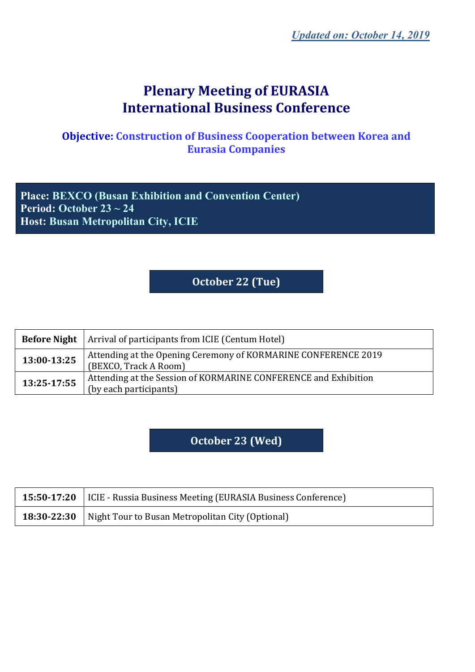# **Plenary Meeting of EURASIA International Business Conference**

#### **Objective: Construction of Business Cooperation between Korea and Eurasia Companies**

**Place: BEXCO (Busan Exhibition and Convention Center) Period: October 23 ~ 24 Host: Busan Metropolitan City, ICIE**

## **October 22 (Tue)**

| <b>Before Night</b> | Arrival of participants from ICIE (Centum Hotel)                                          |
|---------------------|-------------------------------------------------------------------------------------------|
| 13:00-13:25         | Attending at the Opening Ceremony of KORMARINE CONFERENCE 2019<br>(BEXCO, Track A Room)   |
| 13:25-17:55         | Attending at the Session of KORMARINE CONFERENCE and Exhibition<br>(by each participants) |

#### **October 23 (Wed)**

| 15:50-17:20   ICIE - Russia Business Meeting (EURASIA Business Conference) |
|----------------------------------------------------------------------------|
| <b>18:30-22:30</b>   Night Tour to Busan Metropolitan City (Optional)      |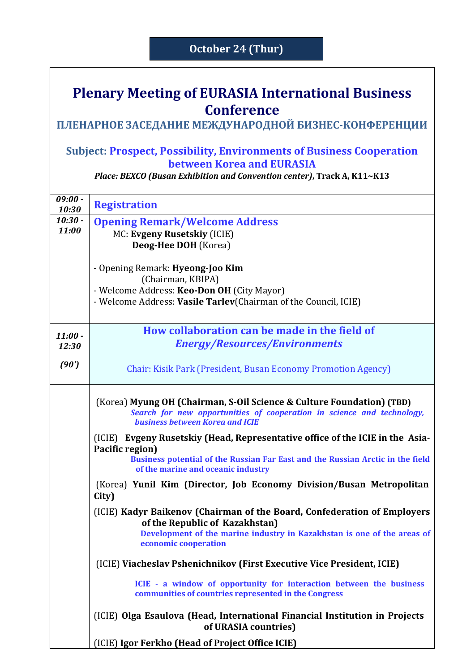#### **October 24 (Thur)**

## **Plenary Meeting of EURASIA International Business Conference**

### **ПЛЕНАРНОЕ ЗАСЕДАНИЕ МЕЖДУНАРОДНОЙ БИЗНЕС-КОНФЕРЕНЦИИ**

#### **Subject: Prospect, Possibility, Environments of Business Cooperation between Korea and EURASIA**

*Place: BEXCO (Busan Exhibition and Convention center)***, Track A, K11~K13**

| $09:00 -$<br>10:30 | <b>Registration</b>                                                                                                                                                                                                      |
|--------------------|--------------------------------------------------------------------------------------------------------------------------------------------------------------------------------------------------------------------------|
| $10:30 -$<br>11:00 | <b>Opening Remark/Welcome Address</b><br>MC: Evgeny Rusetskiy (ICIE)<br>Deog-Hee DOH (Korea)                                                                                                                             |
|                    | - Opening Remark: Hyeong-Joo Kim<br>(Chairman, KBIPA)<br>- Welcome Address: Keo-Don OH (City Mayor)<br>- Welcome Address: Vasile Tarlev(Chairman of the Council, ICIE)                                                   |
| $11:00 -$<br>12:30 | How collaboration can be made in the field of<br><b>Energy/Resources/Environments</b>                                                                                                                                    |
| (90')              | Chair: Kisik Park (President, Busan Economy Promotion Agency)                                                                                                                                                            |
|                    | (Korea) Myung OH (Chairman, S-Oil Science & Culture Foundation) (TBD)<br>Search for new opportunities of cooperation in science and technology,<br><b>business between Korea and ICIE</b>                                |
|                    | (ICIE) Evgeny Rusetskiy (Head, Representative office of the ICIE in the Asia-<br>Pacific region)<br>Business potential of the Russian Far East and the Russian Arctic in the field<br>of the marine and oceanic industry |
|                    | (Korea) Yunil Kim (Director, Job Economy Division/Busan Metropolitan<br>City)                                                                                                                                            |
|                    | (ICIE) Kadyr Baikenov (Chairman of the Board, Confederation of Employers<br>of the Republic of Kazakhstan)<br>Development of the marine industry in Kazakhstan is one of the areas of<br>economic cooperation            |
|                    | (ICIE) Viacheslav Pshenichnikov (First Executive Vice President, ICIE)                                                                                                                                                   |
|                    | ICIE - a window of opportunity for interaction between the business<br>communities of countries represented in the Congress                                                                                              |
|                    | (ICIE) Olga Esaulova (Head, International Financial Institution in Projects<br>of URASIA countries)                                                                                                                      |
|                    | (ICIE) Igor Ferkho (Head of Project Office ICIE)                                                                                                                                                                         |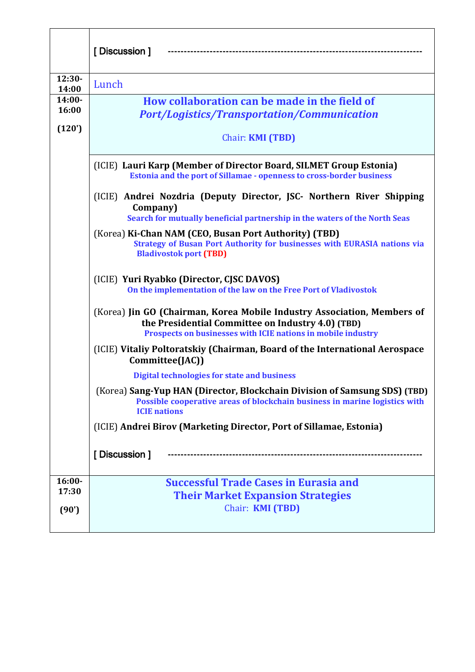|                   | [Discussion]                                                                                                                                                                                 |
|-------------------|----------------------------------------------------------------------------------------------------------------------------------------------------------------------------------------------|
| $12:30-$<br>14:00 | Lunch                                                                                                                                                                                        |
| $14:00-$<br>16:00 | How collaboration can be made in the field of<br><b>Port/Logistics/Transportation/Communication</b>                                                                                          |
| (120')            | Chair: <b>KMI (TBD)</b>                                                                                                                                                                      |
|                   | (ICIE) Lauri Karp (Member of Director Board, SILMET Group Estonia)<br>Estonia and the port of Sillamae - openness to cross-border business                                                   |
|                   | (ICIE) Andrei Nozdria (Deputy Director, JSC- Northern River Shipping<br>Company)<br>Search for mutually beneficial partnership in the waters of the North Seas                               |
|                   | (Korea) Ki-Chan NAM (CEO, Busan Port Authority) (TBD)<br><b>Strategy of Busan Port Authority for businesses with EURASIA nations via</b><br><b>Bladivostok port (TBD)</b>                    |
|                   | (ICIE) Yuri Ryabko (Director, CJSC DAVOS)<br>On the implementation of the law on the Free Port of Vladivostok                                                                                |
|                   | (Korea) Jin GO (Chairman, Korea Mobile Industry Association, Members of<br>the Presidential Committee on Industry 4.0) (TBD)<br>Prospects on businesses with ICIE nations in mobile industry |
|                   | (ICIE) Vitaliy Poltoratskiy (Chairman, Board of the International Aerospace<br>Committee(JAC))                                                                                               |
|                   | <b>Digital technologies for state and business</b>                                                                                                                                           |
|                   | (Korea) Sang-Yup HAN (Director, Blockchain Division of Samsung SDS) (TBD)<br>Possible cooperative areas of blockchain business in marine logistics with<br><b>ICIE</b> nations               |
|                   | (ICIE) Andrei Birov (Marketing Director, Port of Sillamae, Estonia)                                                                                                                          |
|                   | [Discussion]                                                                                                                                                                                 |
| $16:00-$          | <b>Successful Trade Cases in Eurasia and</b>                                                                                                                                                 |
| 17:30             | <b>Their Market Expansion Strategies</b>                                                                                                                                                     |
| (90')             | Chair: <b>KMI (TBD)</b>                                                                                                                                                                      |
|                   |                                                                                                                                                                                              |